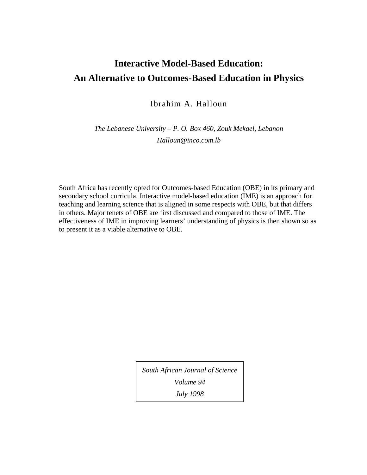# **Interactive Model-Based Education: An Alternative to Outcomes-Based Education in Physics**

Ibrahim A. Halloun

*The Lebanese University – P. O. Box 460, Zouk Mekael, Lebanon Halloun@inco.com.lb*

South Africa has recently opted for Outcomes-based Education (OBE) in its primary and secondary school curricula. Interactive model-based education (IME) is an approach for teaching and learning science that is aligned in some respects with OBE, but that differs in others. Major tenets of OBE are first discussed and compared to those of IME. The effectiveness of IME in improving learners' understanding of physics is then shown so as to present it as a viable alternative to OBE.

*South African Journal of Science*

*Volume 94*

*July 1998*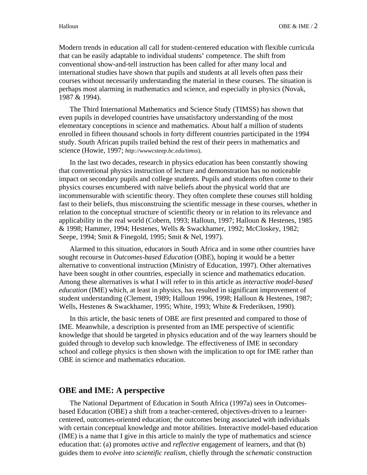Modern trends in education all call for student-centered education with flexible curricula that can be easily adaptable to individual students' competence. The shift from conventional show-and-tell instruction has been called for after many local and international studies have shown that pupils and students at all levels often pass their courses without necessarily understanding the material in these courses. The situation is perhaps most alarming in mathematics and science, and especially in physics (Novak, 1987 & 1994).

The Third International Mathematics and Science Study (TIMSS) has shown that even pupils in developed countries have unsatisfactory understanding of the most elementary conceptions in science and mathematics. About half a million of students enrolled in fifteen thousand schools in forty different countries participated in the 1994 study. South African pupils trailed behind the rest of their peers in mathematics and science (Howie, 1997; *http://wwwcsteep.bc.edu/timss*).

In the last two decades, research in physics education has been constantly showing that conventional physics instruction of lecture and demonstration has no noticeable impact on secondary pupils and college students. Pupils and students often come to their physics courses encumbered with naïve beliefs about the physical world that are incommensurable with scientific theory. They often complete these courses still holding fast to their beliefs, thus misconstruing the scientific message in these courses, whether in relation to the conceptual structure of scientific theory or in relation to its relevance and applicability in the real world (Cobern, 1993; Halloun, 1997; Halloun & Hestenes, 1985 & 1998; Hammer, 1994; Hestenes, Wells & Swackhamer, 1992; McCloskey, 1982; Seepe, 1994; Smit & Finegold, 1995; Smit & Nel, 1997).

Alarmed to this situation, educators in South Africa and in some other countries have sought recourse in *Outcomes-based Education* (OBE), hoping it would be a better alternative to conventional instruction (Ministry of Education, 1997). Other alternatives have been sought in other countries, especially in science and mathematics education. Among these alternatives is what I will refer to in this article as *interactive model-based education* (IME) which, at least in physics, has resulted in significant improvement of student understanding (Clement, 1989; Halloun 1996, 1998; Halloun & Hestenes, 1987; Wells, Hestenes & Swackhamer, 1995; White, 1993; White & Frederiksen, 1990).

In this article, the basic tenets of OBE are first presented and compared to those of IME. Meanwhile, a description is presented from an IME perspective of scientific knowledge that should be targeted in physics education and of the way learners should be guided through to develop such knowledge. The effectiveness of IME in secondary school and college physics is then shown with the implication to opt for IME rather than OBE in science and mathematics education.

#### **OBE and IME: A perspective**

The National Department of Education in South Africa (1997a) sees in Outcomesbased Education (OBE) a shift from a teacher-centered, objectives-driven to a learnercentered, outcomes-oriented education; the outcomes being associated with individuals with certain conceptual knowledge and motor abilities. Interactive model-based education (IME) is a name that I give in this article to mainly the type of mathematics and science education that: (a) promotes *active* and *reflective* engagement of learners, and that (b) guides them to *evolve into scientific realism*, chiefly through the *schematic* construction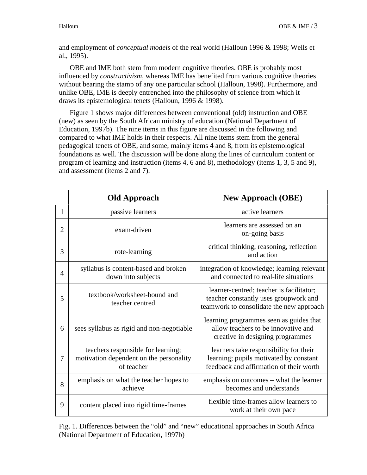and employment of *conceptual models* of the real world (Halloun 1996 & 1998; Wells et al., 1995).

OBE and IME both stem from modern cognitive theories. OBE is probably most influenced by *constructivism,* whereas IME has benefited from various cognitive theories without bearing the stamp of any one particular school (Halloun, 1998). Furthermore, and unlike OBE, IME is deeply entrenched into the philosophy of science from which it draws its epistemological tenets (Halloun, 1996 & 1998).

Figure 1 shows major differences between conventional (old) instruction and OBE (new) as seen by the South African ministry of education (National Department of Education, 1997b). The nine items in this figure are discussed in the following and compared to what IME holds in their respects. All nine items stem from the general pedagogical tenets of OBE, and some, mainly items 4 and 8, from its epistemological foundations as well. The discussion will be done along the lines of curriculum content or program of learning and instruction (items 4, 6 and 8), methodology (items 1, 3, 5 and 9), and assessment (items 2 and 7).

|   | <b>Old Approach</b>                                                                         | <b>New Approach (OBE)</b>                                                                                                     |
|---|---------------------------------------------------------------------------------------------|-------------------------------------------------------------------------------------------------------------------------------|
| 1 | passive learners                                                                            | active learners                                                                                                               |
| 2 | exam-driven                                                                                 | learners are assessed on an<br>on-going basis                                                                                 |
| 3 | rote-learning                                                                               | critical thinking, reasoning, reflection<br>and action                                                                        |
| 4 | syllabus is content-based and broken<br>down into subjects                                  | integration of knowledge; learning relevant<br>and connected to real-life situations                                          |
| 5 | textbook/worksheet-bound and<br>teacher centred                                             | learner-centred; teacher is facilitator;<br>teacher constantly uses groupwork and<br>teamwork to consolidate the new approach |
| 6 | sees syllabus as rigid and non-negotiable                                                   | learning programmes seen as guides that<br>allow teachers to be innovative and<br>creative in designing programmes            |
| 7 | teachers responsible for learning;<br>motivation dependent on the personality<br>of teacher | learners take responsibility for their<br>learning; pupils motivated by constant<br>feedback and affirmation of their worth   |
| 8 | emphasis on what the teacher hopes to<br>achieve                                            | emphasis on outcomes – what the learner<br>becomes and understands                                                            |
| 9 | content placed into rigid time-frames                                                       | flexible time-frames allow learners to<br>work at their own pace                                                              |

Fig. 1. Differences between the "old" and "new" educational approaches in South Africa (National Department of Education, 1997b)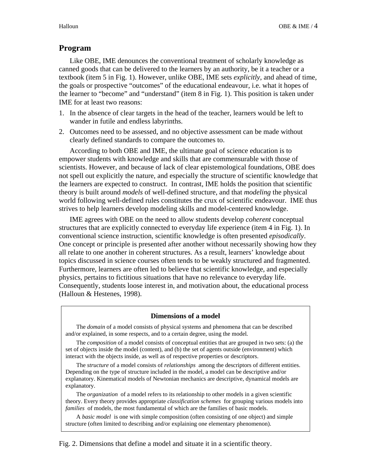## **Program**

Like OBE, IME denounces the conventional treatment of scholarly knowledge as canned goods that can be delivered to the learners by an authority, be it a teacher or a textbook (item 5 in Fig. 1). However, unlike OBE, IME sets *explicitly*, and ahead of time, the goals or prospective "outcomes" of the educational endeavour, i.e. what it hopes of the learner to "become" and "understand" (item 8 in Fig. 1). This position is taken under IME for at least two reasons:

- 1. In the absence of clear targets in the head of the teacher, learners would be left to wander in futile and endless labyrinths.
- 2. Outcomes need to be assessed, and no objective assessment can be made without clearly defined standards to compare the outcomes to.

According to both OBE and IME, the ultimate goal of science education is to empower students with knowledge and skills that are commensurable with those of scientists. However, and because of lack of clear epistemological foundations, OBE does not spell out explicitly the nature, and especially the structure of scientific knowledge that the learners are expected to construct. In contrast, IME holds the position that scientific theory is built around *models* of well-defined structure, and that *modeling* the physical world following well-defined rules constitutes the crux of scientific endeavour. IME thus strives to help learners develop modeling skills and model-centered knowledge.

IME agrees with OBE on the need to allow students develop *coherent* conceptual structures that are explicitly connected to everyday life experience (item 4 in Fig. 1). In conventional science instruction, scientific knowledge is often presented *episodically*. One concept or principle is presented after another without necessarily showing how they all relate to one another in coherent structures. As a result, learners' knowledge about topics discussed in science courses often tends to be weakly structured and fragmented. Furthermore, learners are often led to believe that scientific knowledge, and especially physics, pertains to fictitious situations that have no relevance to everyday life. Consequently, students loose interest in, and motivation about, the educational process (Halloun & Hestenes, 1998).

#### **Dimensions of a model**

The *domain* of a model consists of physical systems and phenomena that can be described and/or explained, in some respects, and to a certain degree, using the model*.*

The *composition* of a model consists of conceptual entities that are grouped in two sets: (a) the set of objects inside the model (content), and (b) the set of agents outside (environment) which interact with the objects inside, as well as of respective properties or descriptors.

The *structure* of a model consists of *relationships* among the descriptors of different entities. Depending on the type of structure included in the model, a model can be descriptive and/or explanatory. Kinematical models of Newtonian mechanics are descriptive, dynamical models are explanatory.

The *organization* of a model refers to its relationship to other models in a given scientific theory. Every theory provides appropriate *classification schemes* for grouping various models into *families* of models, the most fundamental of which are the families of basic models.

A *basic model* is one with simple composition (often consisting of one object) and simple structure (often limited to describing and/or explaining one elementary phenomenon).

Fig. 2. Dimensions that define a model and situate it in a scientific theory.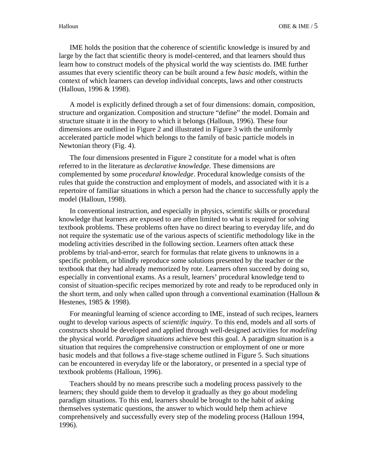IME holds the position that the coherence of scientific knowledge is insured by and large by the fact that scientific theory is model-centered, and that learners should thus learn how to construct models of the physical world the way scientists do. IME further assumes that every scientific theory can be built around a few *basic models*, within the context of which learners can develop individual concepts, laws and other constructs (Halloun, 1996 & 1998).

A model is explicitly defined through a set of four dimensions: domain, composition, structure and organization. Composition and structure "define" the model. Domain and structure situate it in the theory to which it belongs (Halloun, 1996). These four dimensions are outlined in Figure 2 and illustrated in Figure 3 with the uniformly accelerated particle model which belongs to the family of basic particle models in Newtonian theory (Fig. 4).

The four dimensions presented in Figure 2 constitute for a model what is often referred to in the literature as *declarative knowledge*. These dimensions are complemented by some *procedural knowledge*. Procedural knowledge consists of the rules that guide the construction and employment of models, and associated with it is a repertoire of familiar situations in which a person had the chance to successfully apply the model (Halloun, 1998).

In conventional instruction, and especially in physics, scientific skills or procedural knowledge that learners are exposed to are often limited to what is required for solving textbook problems. These problems often have no direct bearing to everyday life, and do not require the systematic use of the various aspects of scientific methodology like in the modeling activities described in the following section. Learners often attack these problems by trial-and-error, search for formulas that relate givens to unknowns in a specific problem, or blindly reproduce some solutions presented by the teacher or the textbook that they had already memorized by rote. Learners often succeed by doing so, especially in conventional exams. As a result, learners' procedural knowledge tend to consist of situation-specific recipes memorized by rote and ready to be reproduced only in the short term, and only when called upon through a conventional examination (Halloun & Hestenes, 1985 & 1998).

For meaningful learning of science according to IME, instead of such recipes, learners ought to develop various aspects of *scientific inquiry*. To this end, models and all sorts of constructs should be developed and applied through well-designed activities for *modeling* the physical world. *Paradigm situations* achieve best this goal. A paradigm situation is a situation that requires the comprehensive construction or employment of one or more basic models and that follows a five-stage scheme outlined in Figure 5. Such situations can be encountered in everyday life or the laboratory, or presented in a special type of textbook problems (Halloun, 1996).

Teachers should by no means prescribe such a modeling process passively to the learners; they should guide them to develop it gradually as they go about modeling paradigm situations. To this end, learners should be brought to the habit of asking themselves systematic questions, the answer to which would help them achieve comprehensively and successfully every step of the modeling process (Halloun 1994, 1996).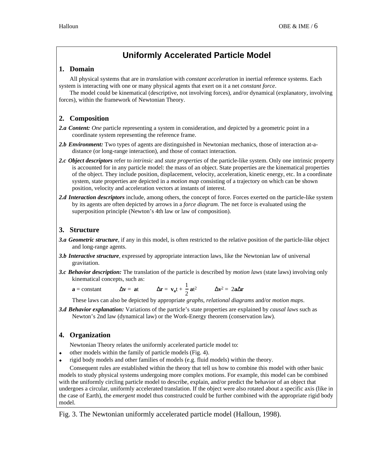## **Uniformly Accelerated Particle Model**

#### **1. Domain**

All physical systems that are in *translation* with *constant acceleration* in inertial reference systems. Each system is interacting with one or many physical agents that exert on it a net *constant force*.

The model could be kinematical (descriptive, not involving forces), and/or dynamical (explanatory, involving forces), within the framework of Newtonian Theory.

### **2. Composition**

- **2.a** *Content: One* particle representing a system in consideration, and depicted by a geometric point in a coordinate system representing the reference frame.
- *2.b Environment:* Two types of agents are distinguished in Newtonian mechanics, those of interaction at-adistance (or long-range interaction), and those of contact interaction.
- *2.c Object descriptors* refer to *intrinsic* and *state properties* of the particle-like system. Only one intrinsic property is accounted for in any particle model: the mass of an object. State properties are the kinematical properties of the object. They include position, displacement, velocity, acceleration, kinetic energy, etc. In a coordinate system, state properties are depicted in a *motion map* consisting of a trajectory on which can be shown position, velocity and acceleration vectors at instants of interest.
- *2.d Interaction descriptors* include, among others, the concept of force. Forces exerted on the particle-like system by its agents are often depicted by arrows in a *force diagram*. The net force is evaluated using the superposition principle (Newton's 4th law or law of composition).

### **3. Structure**

- *3.a Geometric structure*, if any in this model, is often restricted to the relative position of the particle-like object and long-range agents.
- *3.b Interactive structure*, expressed by appropriate interaction laws, like the Newtonian law of universal gravitation.
- *3.c Behavior description:* The translation of the particle is described by *motion laws* (state laws) involving only kinematical concepts, such as:

**a** = constant **v** = **a**t **r** =  $\mathbf{v}_0 t + \frac{1}{2}$  $\frac{1}{2}$  at<sup>2</sup>  $v^2 = 2a$  **r** 

These laws can also be depicted by appropriate *graphs*, *relational diagrams* and/or *motion maps*.

*3.d Behavior explanation:* Variations of the particle's state properties are explained by *causal laws* such as Newton's 2nd law (dynamical law) or the Work-Energy theorem (conservation law).

## **4. Organization**

Newtonian Theory relates the uniformly accelerated particle model to:

- other models within the family of particle models (Fig. 4).
- rigid body models and other families of models (e.g. fluid models) within the theory.

Consequent rules are established within the theory that tell us how to combine this model with other basic models to study physical systems undergoing more complex motions. For example, this model can be combined with the uniformly circling particle model to describe, explain, and/or predict the behavior of an object that undergoes a circular, uniformly accelerated translation. If the object were also rotated about a specific axis (like in the case of Earth), the *emergent* model thus constructed could be further combined with the appropriate rigid body model.

Fig. 3. The Newtonian uniformly accelerated particle model (Halloun, 1998).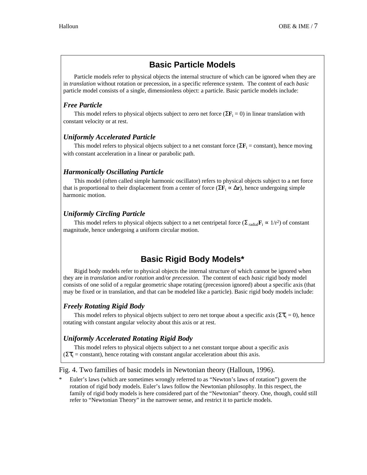## **Basic Particle Models**

Particle models refer to physical objects the internal structure of which can be ignored when they are in *translation* without rotation or precession, in a specific reference system. The content of each *basic* particle model consists of a single, dimensionless object: a particle. Basic particle models include:

#### *Free Particle*

This model refers to physical objects subject to zero net force  $(F_i = 0)$  in linear translation with constant velocity or at rest.

#### *Uniformly Accelerated Particle*

This model refers to physical objects subject to a net constant force  $(F_i = constant)$ , hence moving with constant acceleration in a linear or parabolic path.

#### *Harmonically Oscillating Particle*

This model (often called simple harmonic oscillator) refers to physical objects subject to a net force that is proportional to their displacement from a center of force  $(\mathbf{F}_i \mathbf{r})$ , hence undergoing simple harmonic motion.

#### *Uniformly Circling Particle*

This model refers to physical objects subject to a net centripetal force  $(\alpha_{\text{radial}}\mathbf{F}_{i} - 1/\mathbf{r}^{2})$  of constant magnitude, hence undergoing a uniform circular motion.

## **Basic Rigid Body Models\***

Rigid body models refer to physical objects the internal structure of which cannot be ignored when they are in *translation* and/or *rotation* and/or *precession*. The content of each *basic* rigid body model consists of one solid of a regular geometric shape rotating (precession ignored) about a specific axis (that may be fixed or in translation, and that can be modeled like a particle). Basic rigid body models include:

#### *Freely Rotating Rigid Body*

This model refers to physical objects subject to zero net torque about a specific axis  $(i = 0)$ , hence rotating with constant angular velocity about this axis or at rest.

#### *Uniformly Accelerated Rotating Rigid Body*

This model refers to physical objects subject to a net constant torque about a specific axis  $(i_{i} = constant)$ , hence rotating with constant angular acceleration about this axis.

Fig. 4. Two families of basic models in Newtonian theory (Halloun, 1996).

Euler's laws (which are sometimes wrongly referred to as "Newton's laws of rotation") govern the rotation of rigid body models. Euler's laws follow the Newtonian philosophy. In this respect, the family of rigid body models is here considered part of the "Newtonian" theory. One, though, could still refer to "Newtonian Theory" in the narrower sense, and restrict it to particle models.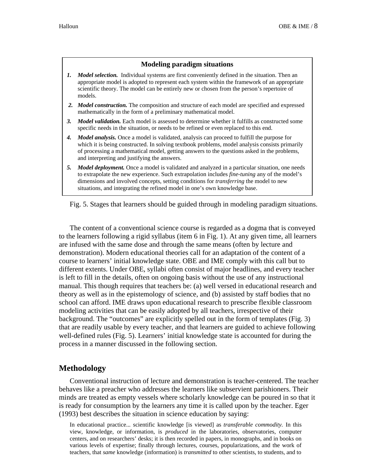#### **Modeling paradigm situations**

- *1. Model selection.* Individual systems are first conveniently defined in the situation. Then an appropriate model is adopted to represent each system within the framework of an appropriate scientific theory. The model can be entirely new or chosen from the person's repertoire of models.
- *2. Model construction.* The composition and structure of each model are specified and expressed mathematically in the form of a preliminary mathematical model.
- *3. Model validation.* Each model is assessed to determine whether it fulfills as constructed some specific needs in the situation, or needs to be refined or even replaced to this end.
- *4. Model analysis.* Once a model is validated, analysis can proceed to fulfill the purpose for which it is being constructed. In solving textbook problems, model analysis consists primarily of processing a mathematical model, getting answers to the questions asked in the problems, and interpreting and justifying the answers.
- *5. Model deployment.* Once a model is validated and analyzed in a particular situation, one needs to extrapolate the new experience. Such extrapolation includes *fine-tuning* any of the model's dimensions and involved concepts, setting conditions for *transferring* the model to new situations, and integrating the refined model in one's own knowledge base.

Fig. 5. Stages that learners should be guided through in modeling paradigm situations.

The content of a conventional science course is regarded as a dogma that is conveyed to the learners following a rigid syllabus (item 6 in Fig. 1). At any given time, all learners are infused with the same dose and through the same means (often by lecture and demonstration). Modern educational theories call for an adaptation of the content of a course to learners' initial knowledge state. OBE and IME comply with this call but to different extents. Under OBE, syllabi often consist of major headlines, and every teacher is left to fill in the details, often on ongoing basis without the use of any instructional manual. This though requires that teachers be: (a) well versed in educational research and theory as well as in the epistemology of science, and (b) assisted by staff bodies that no school can afford. IME draws upon educational research to prescribe flexible classroom modeling activities that can be easily adopted by all teachers, irrespective of their background. The "outcomes" are explicitly spelled out in the form of templates (Fig. 3) that are readily usable by every teacher, and that learners are guided to achieve following well-defined rules (Fig. 5). Learners' initial knowledge state is accounted for during the process in a manner discussed in the following section.

### **Methodology**

Conventional instruction of lecture and demonstration is teacher-centered. The teacher behaves like a preacher who addresses the learners like subservient parishioners. Their minds are treated as empty vessels where scholarly knowledge can be poured in so that it is ready for consumption by the learners any time it is called upon by the teacher. Eger (1993) best describes the situation in science education by saying:

In educational practice... scientific knowledge [is viewed] as *transferable commodity.* In this view, knowledge, or information, is *produced* in the laboratories, observatories, computer centers, and on researchers' desks; it is then recorded in papers, in monographs, and in books on various levels of expertise; finally through lectures, courses, popularizations, and the work of teachers, that *same* knowledge (information) is *transmitted* to other scientists, to students, and to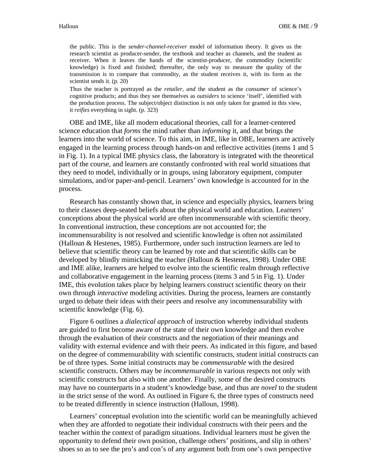the public. This is the *sender-channel-receiver* model of information theory. It gives us the research scientist as producer-sender, the textbook and teacher as channels, and the student as receiver. When it leaves the hands of the scientist-producer, the commodity (scientific knowledge) is fixed and finished; thereafter, the only way to measure the quality of the transmission is to compare that commodity, as the student receives it, with its form as the scientist sends it. (p. 20)

Thus the teacher is portrayed as the *retailer, and* the student as the *consumer* of science's cognitive products; and thus they see themselves as *outsiders* to science 'itself', identified with the production process. The subject/object distinction is not only taken for granted in this view, it *reifies* everything in sight. (p. 323)

OBE and IME, like all modern educational theories, call for a learner-centered science education that *forms* the mind rather than *informing* it, and that brings the learners into the world of science. To this aim, in IME, like in OBE, learners are actively engaged in the learning process through hands-on and reflective activities (items 1 and 5 in Fig. 1). In a typical IME physics class, the laboratory is integrated with the theoretical part of the course, and learners are constantly confronted with real world situations that they need to model, individually or in groups, using laboratory equipment, computer simulations, and/or paper-and-pencil. Learners' own knowledge is accounted for in the process.

Research has constantly shown that, in science and especially physics, learners bring to their classes deep-seated beliefs about the physical world and education. Learners' conceptions about the physical world are often incommensurable with scientific theory. In conventional instruction, these conceptions are not accounted for; the incommensurability is not resolved and scientific knowledge is often not assimilated (Halloun & Hestenes, 1985). Furthermore, under such instruction learners are led to believe that scientific theory can be learned by rote and that scientific skills can be developed by blindly mimicking the teacher (Halloun & Hestenes, 1998). Under OBE and IME alike, learners are helped to evolve into the scientific realm through reflective and collaborative engagement in the learning process (items 3 and 5 in Fig. 1). Under IME, this evolution takes place by helping learners construct scientific theory on their own through *interactive* modeling activities. During the process, learners are constantly urged to debate their ideas with their peers and resolve any incommensurability with scientific knowledge (Fig. 6).

Figure 6 outlines a *dialectical approach* of instruction whereby individual students are guided to first become aware of the state of their own knowledge and then evolve through the evaluation of their constructs and the negotiation of their meanings and validity with external evidence and with their peers. As indicated in this figure, and based on the degree of commensurability with scientific constructs, student initial constructs can be of three types. Some initial constructs may be *commensurable* with the desired scientific constructs. Others may be *incommensurable* in various respects not only with scientific constructs but also with one another. Finally, some of the desired constructs may have no counterparts in a student's knowledge base, and thus are *novel* to the student in the strict sense of the word. As outlined in Figure 6, the three types of constructs need to be treated differently in science instruction (Halloun, 1998).

Learners' conceptual evolution into the scientific world can be meaningfully achieved when they are afforded to negotiate their individual constructs with their peers and the teacher within the context of paradigm situations. Individual learners must be given the opportunity to defend their own position, challenge others' positions, and slip in others' shoes so as to see the pro's and con's of any argument both from one's own perspective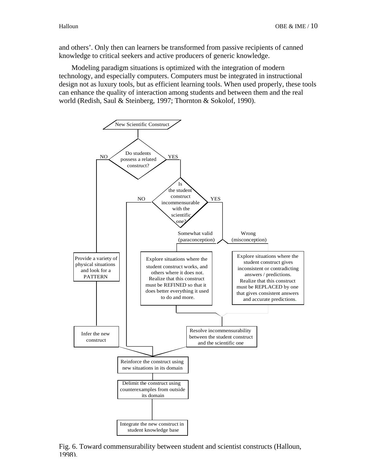and others'. Only then can learners be transformed from passive recipients of canned knowledge to critical seekers and active producers of generic knowledge.

 Modeling paradigm situations is optimized with the integration of modern technology, and especially computers. Computers must be integrated in instructional design not as luxury tools, but as efficient learning tools. When used properly, these tools can enhance the quality of interaction among students and between them and the real world (Redish, Saul & Steinberg, 1997; Thornton & Sokolof, 1990).



Fig. 6. Toward commensurability between student and scientist constructs (Halloun, 1998).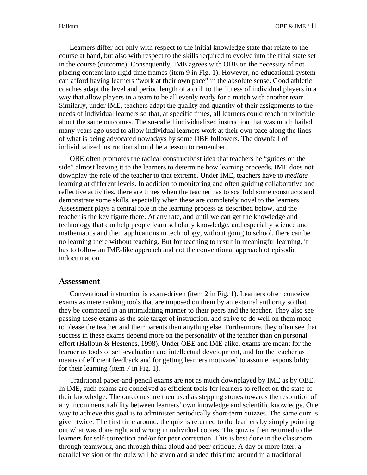Learners differ not only with respect to the initial knowledge state that relate to the course at hand, but also with respect to the skills required to evolve into the final state set in the course (outcome). Consequently, IME agrees with OBE on the necessity of not placing content into rigid time frames (item 9 in Fig. 1). However, no educational system can afford having learners "work at their own pace" in the absolute sense. Good athletic coaches adapt the level and period length of a drill to the fitness of individual players in a way that allow players in a team to be all evenly ready for a match with another team. Similarly, under IME, teachers adapt the quality and quantity of their assignments to the needs of individual learners so that, at specific times, all learners could reach in principle about the same outcomes. The so-called individualized instruction that was much hailed many years ago used to allow individual learners work at their own pace along the lines of what is being advocated nowadays by some OBE followers. The downfall of individualized instruction should be a lesson to remember.

OBE often promotes the radical constructivist idea that teachers be "guides on the side" almost leaving it to the learners to determine how learning proceeds. IME does not downplay the role of the teacher to that extreme. Under IME, teachers have to *mediate* learning at different levels. In addition to monitoring and often guiding collaborative and reflective activities, there are times when the teacher has to scaffold some constructs and demonstrate some skills, especially when these are completely novel to the learners. Assessment plays a central role in the learning process as described below, and the teacher is the key figure there. At any rate, and until we can get the knowledge and technology that can help people learn scholarly knowledge, and especially science and mathematics and their applications in technology, without going to school, there can be no learning there without teaching. But for teaching to result in meaningful learning, it has to follow an IME-like approach and not the conventional approach of episodic indoctrination.

#### **Assessment**

Conventional instruction is exam-driven (item 2 in Fig. 1). Learners often conceive exams as mere ranking tools that are imposed on them by an external authority so that they be compared in an intimidating manner to their peers and the teacher. They also see passing these exams as the sole target of instruction, and strive to do well on them more to please the teacher and their parents than anything else. Furthermore, they often see that success in these exams depend more on the personality of the teacher than on personal effort (Halloun & Hestenes, 1998). Under OBE and IME alike, exams are meant for the learner as tools of self-evaluation and intellectual development, and for the teacher as means of efficient feedback and for getting learners motivated to assume responsibility for their learning (item 7 in Fig. 1).

Traditional paper-and-pencil exams are not as much downplayed by IME as by OBE. In IME, such exams are conceived as efficient tools for learners to reflect on the state of their knowledge. The outcomes are then used as stepping stones towards the resolution of any incommensurability between learners' own knowledge and scientific knowledge. One way to achieve this goal is to administer periodically short-term quizzes. The same quiz is given twice. The first time around, the quiz is returned to the learners by simply pointing out what was done right and wrong in individual copies. The quiz is then returned to the learners for self-correction and/or for peer correction. This is best done in the classroom through teamwork, and through think aloud and peer critique. A day or more later, a parallel version of the quiz will be given and graded this time around in a traditional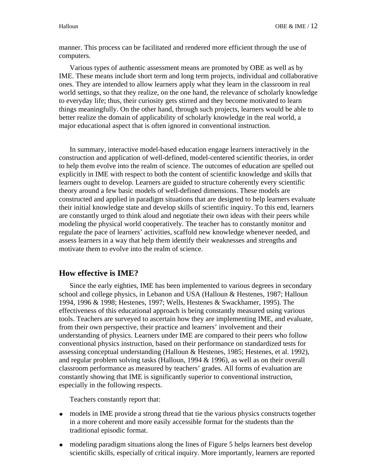manner. This process can be facilitated and rendered more efficient through the use of computers.

Various types of authentic assessment means are promoted by OBE as well as by IME. These means include short term and long term projects, individual and collaborative ones. They are intended to allow learners apply what they learn in the classroom in real world settings, so that they realize, on the one hand, the relevance of scholarly knowledge to everyday life; thus, their curiosity gets stirred and they become motivated to learn things meaningfully. On the other hand, through such projects, learners would be able to better realize the domain of applicability of scholarly knowledge in the real world, a major educational aspect that is often ignored in conventional instruction.

In summary, interactive model-based education engage learners interactively in the construction and application of well-defined, model-centered scientific theories, in order to help them evolve into the realm of science. The outcomes of education are spelled out explicitly in IME with respect to both the content of scientific knowledge and skills that learners ought to develop. Learners are guided to structure coherently every scientific theory around a few basic models of well-defined dimensions. These models are constructed and applied in paradigm situations that are designed to help learners evaluate their initial knowledge state and develop skills of scientific inquiry. To this end, learners are constantly urged to think aloud and negotiate their own ideas with their peers while modeling the physical world cooperatively. The teacher has to constantly monitor and regulate the pace of learners' activities, scaffold new knowledge whenever needed, and assess learners in a way that help them identify their weaknesses and strengths and motivate them to evolve into the realm of science.

#### **How effective is IME?**

Since the early eighties, IME has been implemented to various degrees in secondary school and college physics, in Lebanon and USA (Halloun & Hestenes, 1987; Halloun 1994, 1996 & 1998; Hestenes, 1997; Wells, Hestenes & Swackhamer, 1995). The effectiveness of this educational approach is being constantly measured using various tools. Teachers are surveyed to ascertain how they are implementing IME, and evaluate, from their own perspective, their practice and learners' involvement and their understanding of physics. Learners under IME are compared to their peers who follow conventional physics instruction, based on their performance on standardized tests for assessing conceptual understanding (Halloun & Hestenes, 1985; Hestenes, et al. 1992), and regular problem solving tasks (Halloun, 1994 & 1996), as well as on their overall classroom performance as measured by teachers' grades. All forms of evaluation are constantly showing that IME is significantly superior to conventional instruction, especially in the following respects.

Teachers constantly report that:

- $\bullet$  models in IME provide a strong thread that tie the various physics constructs together in a more coherent and more easily accessible format for the students than the traditional episodic format.
- $\bullet$  modeling paradigm situations along the lines of Figure 5 helps learners best develop scientific skills, especially of critical inquiry. More importantly, learners are reported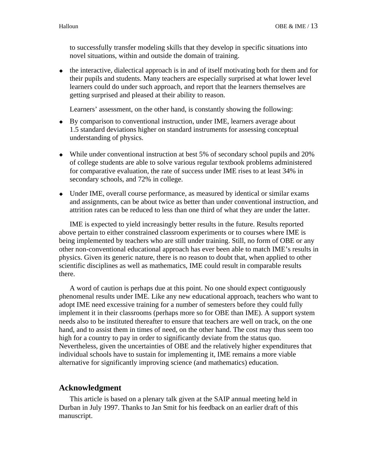to successfully transfer modeling skills that they develop in specific situations into novel situations, within and outside the domain of training.

 $\bullet$  the interactive, dialectical approach is in and of itself motivating both for them and for their pupils and students. Many teachers are especially surprised at what lower level learners could do under such approach, and report that the learners themselves are getting surprised and pleased at their ability to reason.

Learners' assessment, on the other hand, is constantly showing the following:

- $\bullet$  By comparison to conventional instruction, under IME, learners average about 1.5 standard deviations higher on standard instruments for assessing conceptual understanding of physics.
- $\bullet$  While under conventional instruction at best 5% of secondary school pupils and 20% of college students are able to solve various regular textbook problems administered for comparative evaluation, the rate of success under IME rises to at least 34% in secondary schools, and 72% in college.
- $\bullet$  Under IME, overall course performance, as measured by identical or similar exams and assignments, can be about twice as better than under conventional instruction, and attrition rates can be reduced to less than one third of what they are under the latter.

IME is expected to yield increasingly better results in the future. Results reported above pertain to either constrained classroom experiments or to courses where IME is being implemented by teachers who are still under training. Still, no form of OBE or any other non-conventional educational approach has ever been able to match IME's results in physics. Given its generic nature, there is no reason to doubt that, when applied to other scientific disciplines as well as mathematics, IME could result in comparable results there.

A word of caution is perhaps due at this point. No one should expect contiguously phenomenal results under IME. Like any new educational approach, teachers who want to adopt IME need excessive training for a number of semesters before they could fully implement it in their classrooms (perhaps more so for OBE than IME). A support system needs also to be instituted thereafter to ensure that teachers are well on track, on the one hand, and to assist them in times of need, on the other hand. The cost may thus seem too high for a country to pay in order to significantly deviate from the status quo. Nevertheless, given the uncertainties of OBE and the relatively higher expenditures that individual schools have to sustain for implementing it, IME remains a more viable alternative for significantly improving science (and mathematics) education.

#### **Acknowledgment**

This article is based on a plenary talk given at the SAIP annual meeting held in Durban in July 1997. Thanks to Jan Smit for his feedback on an earlier draft of this manuscript.